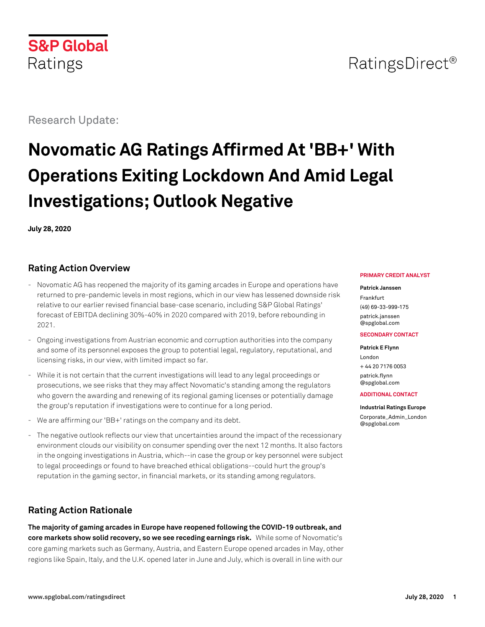# **S&P Global** Ratings

# Research Update:

# **Novomatic AG Ratings Affirmed At 'BB+' With Operations Exiting Lockdown And Amid Legal Investigations; Outlook Negative**

**July 28, 2020**

# **Rating Action Overview**

- Novomatic AG has reopened the majority of its gaming arcades in Europe and operations have returned to pre-pandemic levels in most regions, which in our view has lessened downside risk relative to our earlier revised financial base-case scenario, including S&P Global Ratings' forecast of EBITDA declining 30%-40% in 2020 compared with 2019, before rebounding in 2021.
- Ongoing investigations from Austrian economic and corruption authorities into the company and some of its personnel exposes the group to potential legal, regulatory, reputational, and licensing risks, in our view, with limited impact so far.
- While it is not certain that the current investigations will lead to any legal proceedings or prosecutions, we see risks that they may affect Novomatic's standing among the regulators who govern the awarding and renewing of its regional gaming licenses or potentially damage the group's reputation if investigations were to continue for a long period.
- We are affirming our 'BB+' ratings on the company and its debt.
- The negative outlook reflects our view that uncertainties around the impact of the recessionary environment clouds our visibility on consumer spending over the next 12 months. It also factors in the ongoing investigations in Austria, which--in case the group or key personnel were subject to legal proceedings or found to have breached ethical obligations--could hurt the group's reputation in the gaming sector, in financial markets, or its standing among regulators.

# **Rating Action Rationale**

**The majority of gaming arcades in Europe have reopened following the COVID-19 outbreak, and core markets show solid recovery, so we see receding earnings risk.** While some of Novomatic's core gaming markets such as Germany, Austria, and Eastern Europe opened arcades in May, other regions like Spain, Italy, and the U.K. opened later in June and July, which is overall in line with our

#### **PRIMARY CREDIT ANALYST**

#### **Patrick Janssen**

Frankfurt (49) 69-33-999-175 [patrick.janssen](mailto:patrick.janssen@spglobal.com) [@spglobal.com](mailto:patrick.janssen@spglobal.com)

#### **SECONDARY CONTACT**

**Patrick E Flynn** London + 44 20 7176 0053 [patrick.flynn](mailto:patrick.flynn@spglobal.com) [@spglobal.com](mailto:patrick.flynn@spglobal.com)

#### **ADDITIONAL CONTACT**

**Industrial Ratings Europe**

[Corporate\\_Admin\\_London](mailto:Corporate_Admin_London@spglobal.com) [@spglobal.com](mailto:Corporate_Admin_London@spglobal.com)

# RatingsDirect<sup>®</sup>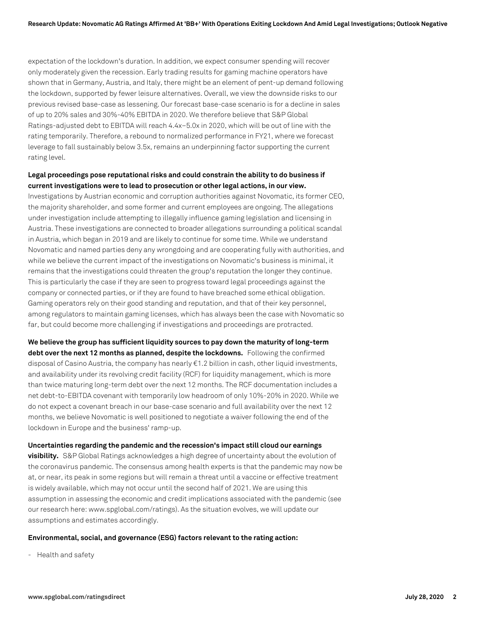expectation of the lockdown's duration. In addition, we expect consumer spending will recover only moderately given the recession. Early trading results for gaming machine operators have shown that in Germany, Austria, and Italy, there might be an element of pent-up demand following the lockdown, supported by fewer leisure alternatives. Overall, we view the downside risks to our previous revised base-case as lessening. Our forecast base-case scenario is for a decline in sales of up to 20% sales and 30%-40% EBITDA in 2020. We therefore believe that S&P Global Ratings-adjusted debt to EBITDA will reach 4.4x–5.0x in 2020, which will be out of line with the rating temporarily. Therefore, a rebound to normalized performance in FY21, where we forecast leverage to fall sustainably below 3.5x, remains an underpinning factor supporting the current rating level.

#### **Legal proceedings pose reputational risks and could constrain the ability to do business if current investigations were to lead to prosecution or other legal actions, in our view.**

Investigations by Austrian economic and corruption authorities against Novomatic, its former CEO, the majority shareholder, and some former and current employees are ongoing. The allegations under investigation include attempting to illegally influence gaming legislation and licensing in Austria. These investigations are connected to broader allegations surrounding a political scandal in Austria, which began in 2019 and are likely to continue for some time. While we understand Novomatic and named parties deny any wrongdoing and are cooperating fully with authorities, and while we believe the current impact of the investigations on Novomatic's business is minimal, it remains that the investigations could threaten the group's reputation the longer they continue. This is particularly the case if they are seen to progress toward legal proceedings against the company or connected parties, or if they are found to have breached some ethical obligation. Gaming operators rely on their good standing and reputation, and that of their key personnel, among regulators to maintain gaming licenses, which has always been the case with Novomatic so far, but could become more challenging if investigations and proceedings are protracted.

**We believe the group has sufficient liquidity sources to pay down the maturity of long-term debt over the next 12 months as planned, despite the lockdowns.** Following the confirmed disposal of Casino Austria, the company has nearly  $\epsilon$ 1.2 billion in cash, other liquid investments, and availability under its revolving credit facility (RCF) for liquidity management, which is more than twice maturing long-term debt over the next 12 months. The RCF documentation includes a net debt-to-EBITDA covenant with temporarily low headroom of only 10%-20% in 2020. While we do not expect a covenant breach in our base-case scenario and full availability over the next 12 months, we believe Novomatic is well positioned to negotiate a waiver following the end of the lockdown in Europe and the business' ramp-up.

**Uncertainties regarding the pandemic and the recession's impact still cloud our earnings visibility.** S&P Global Ratings acknowledges a high degree of uncertainty about the evolution of the coronavirus pandemic. The consensus among health experts is that the pandemic may now be at, or near, its peak in some regions but will remain a threat until a vaccine or effective treatment is widely available, which may not occur until the second half of 2021. We are using this assumption in assessing the economic and credit implications associated with the pandemic (see our research here: www.spglobal.com/ratings). As the situation evolves, we will update our assumptions and estimates accordingly.

#### **Environmental, social, and governance (ESG) factors relevant to the rating action:**

- Health and safety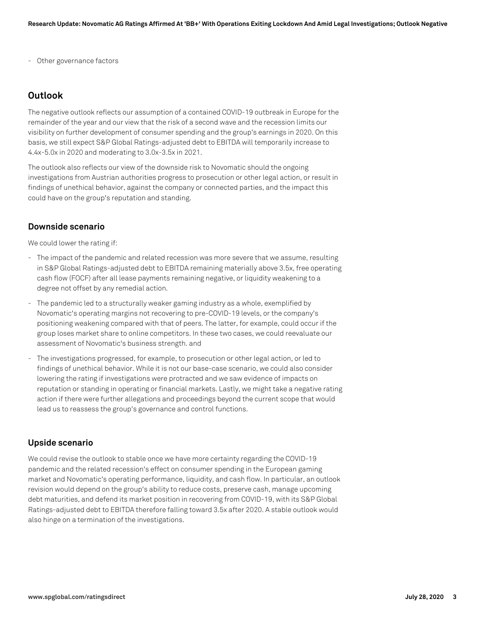- Other governance factors

## **Outlook**

The negative outlook reflects our assumption of a contained COVID-19 outbreak in Europe for the remainder of the year and our view that the risk of a second wave and the recession limits our visibility on further development of consumer spending and the group's earnings in 2020. On this basis, we still expect S&P Global Ratings-adjusted debt to EBITDA will temporarily increase to 4.4x-5.0x in 2020 and moderating to 3.0x-3.5x in 2021.

The outlook also reflects our view of the downside risk to Novomatic should the ongoing investigations from Austrian authorities progress to prosecution or other legal action, or result in findings of unethical behavior, against the company or connected parties, and the impact this could have on the group's reputation and standing.

#### **Downside scenario**

We could lower the rating if:

- The impact of the pandemic and related recession was more severe that we assume, resulting in S&P Global Ratings-adjusted debt to EBITDA remaining materially above 3.5x, free operating cash flow (FOCF) after all lease payments remaining negative, or liquidity weakening to a degree not offset by any remedial action.
- The pandemic led to a structurally weaker gaming industry as a whole, exemplified by Novomatic's operating margins not recovering to pre-COVID-19 levels, or the company's positioning weakening compared with that of peers. The latter, for example, could occur if the group loses market share to online competitors. In these two cases, we could reevaluate our assessment of Novomatic's business strength. and
- The investigations progressed, for example, to prosecution or other legal action, or led to findings of unethical behavior. While it is not our base-case scenario, we could also consider lowering the rating if investigations were protracted and we saw evidence of impacts on reputation or standing in operating or financial markets. Lastly, we might take a negative rating action if there were further allegations and proceedings beyond the current scope that would lead us to reassess the group's governance and control functions.

#### **Upside scenario**

We could revise the outlook to stable once we have more certainty regarding the COVID-19 pandemic and the related recession's effect on consumer spending in the European gaming market and Novomatic's operating performance, liquidity, and cash flow. In particular, an outlook revision would depend on the group's ability to reduce costs, preserve cash, manage upcoming debt maturities, and defend its market position in recovering from COVID-19, with its S&P Global Ratings-adjusted debt to EBITDA therefore falling toward 3.5x after 2020. A stable outlook would also hinge on a termination of the investigations.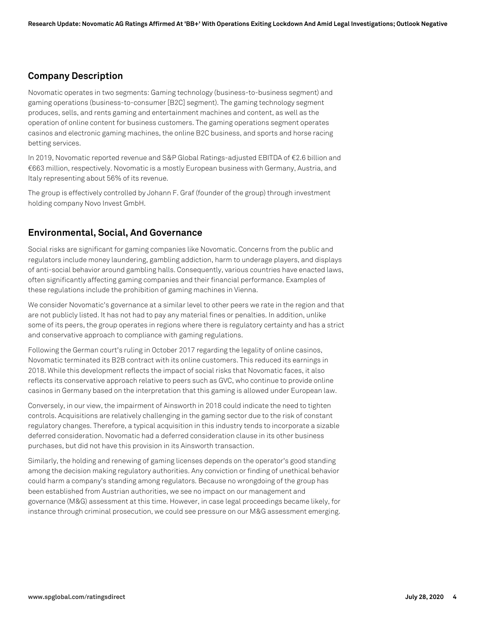# **Company Description**

Novomatic operates in two segments: Gaming technology (business-to-business segment) and gaming operations (business-to-consumer [B2C] segment). The gaming technology segment produces, sells, and rents gaming and entertainment machines and content, as well as the operation of online content for business customers. The gaming operations segment operates casinos and electronic gaming machines, the online B2C business, and sports and horse racing betting services.

In 2019, Novomatic reported revenue and S&P Global Ratings-adjusted EBITDA of €2.6 billion and €663 million, respectively. Novomatic is a mostly European business with Germany, Austria, and Italy representing about 56% of its revenue.

The group is effectively controlled by Johann F. Graf (founder of the group) through investment holding company Novo Invest GmbH.

# **Environmental, Social, And Governance**

Social risks are significant for gaming companies like Novomatic. Concerns from the public and regulators include money laundering, gambling addiction, harm to underage players, and displays of anti-social behavior around gambling halls. Consequently, various countries have enacted laws, often significantly affecting gaming companies and their financial performance. Examples of these regulations include the prohibition of gaming machines in Vienna.

We consider Novomatic's governance at a similar level to other peers we rate in the region and that are not publicly listed. It has not had to pay any material fines or penalties. In addition, unlike some of its peers, the group operates in regions where there is regulatory certainty and has a strict and conservative approach to compliance with gaming regulations.

Following the German court's ruling in October 2017 regarding the legality of online casinos, Novomatic terminated its B2B contract with its online customers. This reduced its earnings in 2018. While this development reflects the impact of social risks that Novomatic faces, it also reflects its conservative approach relative to peers such as GVC, who continue to provide online casinos in Germany based on the interpretation that this gaming is allowed under European law.

Conversely, in our view, the impairment of Ainsworth in 2018 could indicate the need to tighten controls. Acquisitions are relatively challenging in the gaming sector due to the risk of constant regulatory changes. Therefore, a typical acquisition in this industry tends to incorporate a sizable deferred consideration. Novomatic had a deferred consideration clause in its other business purchases, but did not have this provision in its Ainsworth transaction.

Similarly, the holding and renewing of gaming licenses depends on the operator's good standing among the decision making regulatory authorities. Any conviction or finding of unethical behavior could harm a company's standing among regulators. Because no wrongdoing of the group has been established from Austrian authorities, we see no impact on our management and governance (M&G) assessment at this time. However, in case legal proceedings became likely, for instance through criminal prosecution, we could see pressure on our M&G assessment emerging.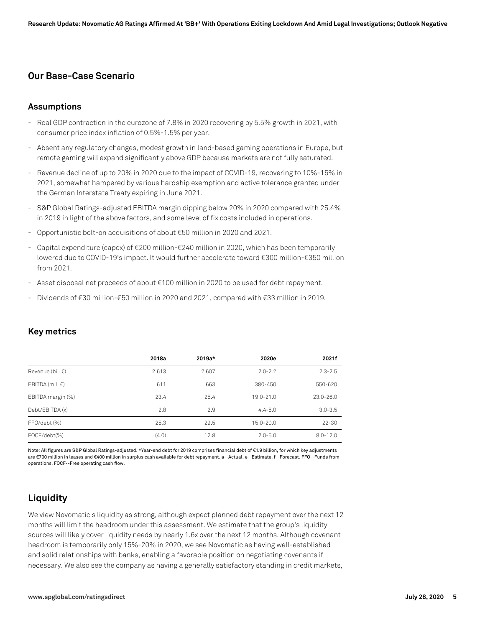# **Our Base-Case Scenario**

#### **Assumptions**

- Real GDP contraction in the eurozone of 7.8% in 2020 recovering by 5.5% growth in 2021, with consumer price index inflation of 0.5%-1.5% per year.
- Absent any regulatory changes, modest growth in land-based gaming operations in Europe, but remote gaming will expand significantly above GDP because markets are not fully saturated.
- Revenue decline of up to 20% in 2020 due to the impact of COVID-19, recovering to 10%-15% in 2021, somewhat hampered by various hardship exemption and active tolerance granted under the German Interstate Treaty expiring in June 2021.
- S&P Global Ratings-adjusted EBITDA margin dipping below 20% in 2020 compared with 25.4% in 2019 in light of the above factors, and some level of fix costs included in operations.
- Opportunistic bolt-on acquisitions of about €50 million in 2020 and 2021.
- Capital expenditure (capex) of €200 million-€240 million in 2020, which has been temporarily lowered due to COVID-19's impact. It would further accelerate toward €300 million-€350 million from 2021.
- Asset disposal net proceeds of about €100 million in 2020 to be used for debt repayment.
- Dividends of €30 million-€50 million in 2020 and 2021, compared with €33 million in 2019.

|                            | 2018a | 2019a* | 2020e       | 2021f         |
|----------------------------|-------|--------|-------------|---------------|
| Revenue (bil. $\epsilon$ ) | 2.613 | 2.607  | $2.0 - 2.2$ | $2.3 - 2.5$   |
| EBITDA (mil. $\epsilon$ )  | 611   | 663    | 380-450     | 550-620       |
| EBITDA margin (%)          | 23.4  | 25.4   | 19.0-21.0   | $23.0 - 26.0$ |
| Debt/EBITDA (x)            | 2.8   | 2.9    | $4.4 - 5.0$ | $3.0 - 3.5$   |
| FFO/debt (%)               | 25.3  | 29.5   | 15.0-20.0   | $22 - 30$     |
| FOCF/debt(%)               | (4.0) | 12.8   | $2.0 - 5.0$ | $8.0 - 12.0$  |

#### **Key metrics**

Note: All figures are S&P Global Ratings-adjusted. \*Year-end debt for 2019 comprises financial debt of €1.9 billion, for which key adjustments are €700 million in leases and €400 million in surplus cash available for debt repayment. a--Actual. e--Estimate. f--Forecast. FFO--Funds from operations. FOCF--Free operating cash flow.

# **Liquidity**

We view Novomatic's liquidity as strong, although expect planned debt repayment over the next 12 months will limit the headroom under this assessment. We estimate that the group's liquidity sources will likely cover liquidity needs by nearly 1.6x over the next 12 months. Although covenant headroom is temporarily only 15%-20% in 2020, we see Novomatic as having well-established and solid relationships with banks, enabling a favorable position on negotiating covenants if necessary. We also see the company as having a generally satisfactory standing in credit markets,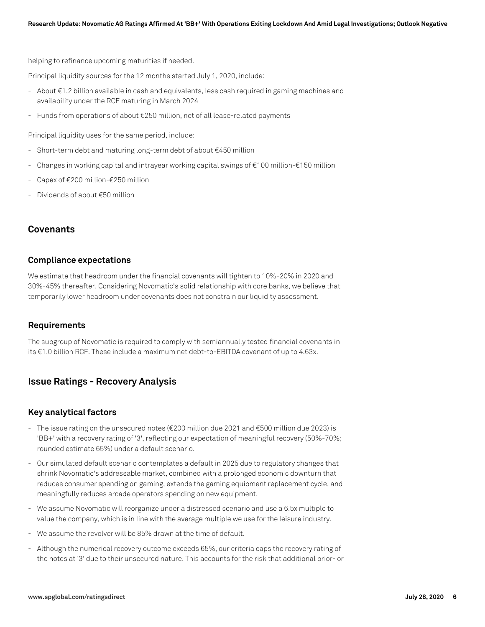helping to refinance upcoming maturities if needed.

Principal liquidity sources for the 12 months started July 1, 2020, include:

- About €1.2 billion available in cash and equivalents, less cash required in gaming machines and availability under the RCF maturing in March 2024
- Funds from operations of about €250 million, net of all lease-related payments

Principal liquidity uses for the same period, include:

- Short-term debt and maturing long-term debt of about €450 million
- Changes in working capital and intrayear working capital swings of €100 million-€150 million
- Capex of €200 million-€250 million
- Dividends of about €50 million

#### **Covenants**

#### **Compliance expectations**

We estimate that headroom under the financial covenants will tighten to 10%-20% in 2020 and 30%-45% thereafter. Considering Novomatic's solid relationship with core banks, we believe that temporarily lower headroom under covenants does not constrain our liquidity assessment.

#### **Requirements**

The subgroup of Novomatic is required to comply with semiannually tested financial covenants in its €1.0 billion RCF. These include a maximum net debt-to-EBITDA covenant of up to 4.63x.

# **Issue Ratings - Recovery Analysis**

#### **Key analytical factors**

- The issue rating on the unsecured notes (€200 million due 2021 and €500 million due 2023) is 'BB+' with a recovery rating of '3', reflecting our expectation of meaningful recovery (50%-70%; rounded estimate 65%) under a default scenario.
- Our simulated default scenario contemplates a default in 2025 due to regulatory changes that shrink Novomatic's addressable market, combined with a prolonged economic downturn that reduces consumer spending on gaming, extends the gaming equipment replacement cycle, and meaningfully reduces arcade operators spending on new equipment.
- We assume Novomatic will reorganize under a distressed scenario and use a 6.5x multiple to value the company, which is in line with the average multiple we use for the leisure industry.
- We assume the revolver will be 85% drawn at the time of default.
- Although the numerical recovery outcome exceeds 65%, our criteria caps the recovery rating of the notes at '3' due to their unsecured nature. This accounts for the risk that additional prior- or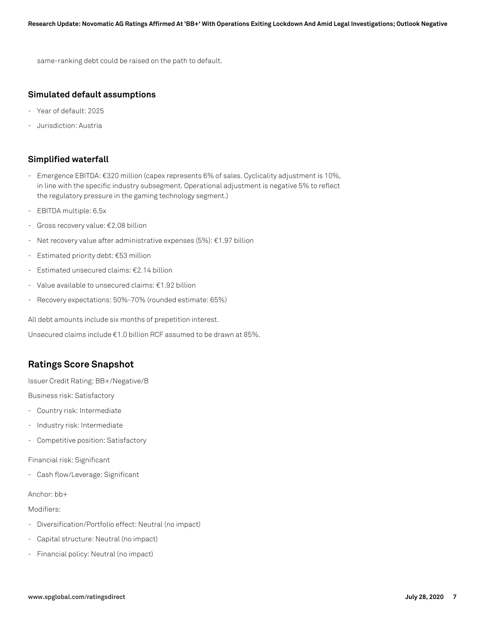same-ranking debt could be raised on the path to default.

#### **Simulated default assumptions**

- Year of default: 2025
- Jurisdiction: Austria

## **Simplified waterfall**

- Emergence EBITDA: €320 million (capex represents 6% of sales. Cyclicality adjustment is 10%, in line with the specific industry subsegment. Operational adjustment is negative 5% to reflect the regulatory pressure in the gaming technology segment.)
- EBITDA multiple: 6.5x
- Gross recovery value: €2.08 billion
- Net recovery value after administrative expenses (5%): €1.97 billion
- Estimated priority debt: €53 million
- Estimated unsecured claims: €2.14 billion
- Value available to unsecured claims: €1.92 billion
- Recovery expectations: 50%-70% (rounded estimate: 65%)

All debt amounts include six months of prepetition interest.

Unsecured claims include €1.0 billion RCF assumed to be drawn at 85%.

# **Ratings Score Snapshot**

Issuer Credit Rating: BB+/Negative/B

Business risk: Satisfactory

- Country risk: Intermediate
- Industry risk: Intermediate
- Competitive position: Satisfactory

Financial risk: Significant

- Cash flow/Leverage: Significant

#### Anchor: bb+

Modifiers:

- Diversification/Portfolio effect: Neutral (no impact)
- Capital structure: Neutral (no impact)
- Financial policy: Neutral (no impact)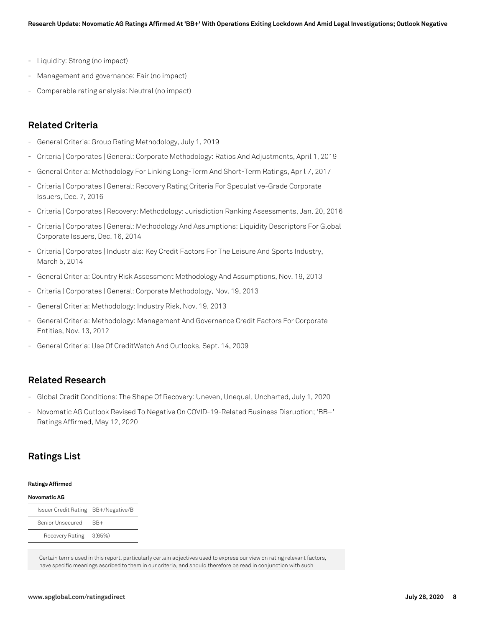- Liquidity: Strong (no impact)
- Management and governance: Fair (no impact)
- Comparable rating analysis: Neutral (no impact)

## **Related Criteria**

- General Criteria: Group Rating Methodology, July 1, 2019
- Criteria | Corporates | General: Corporate Methodology: Ratios And Adjustments, April 1, 2019
- General Criteria: Methodology For Linking Long-Term And Short-Term Ratings, April 7, 2017
- Criteria | Corporates | General: Recovery Rating Criteria For Speculative-Grade Corporate Issuers, Dec. 7, 2016
- Criteria | Corporates | Recovery: Methodology: Jurisdiction Ranking Assessments, Jan. 20, 2016
- Criteria | Corporates | General: Methodology And Assumptions: Liquidity Descriptors For Global Corporate Issuers, Dec. 16, 2014
- Criteria | Corporates | Industrials: Key Credit Factors For The Leisure And Sports Industry, March 5, 2014
- General Criteria: Country Risk Assessment Methodology And Assumptions, Nov. 19, 2013
- Criteria | Corporates | General: Corporate Methodology, Nov. 19, 2013
- General Criteria: Methodology: Industry Risk, Nov. 19, 2013
- General Criteria: Methodology: Management And Governance Credit Factors For Corporate Entities, Nov. 13, 2012
- General Criteria: Use Of CreditWatch And Outlooks, Sept. 14, 2009

#### **Related Research**

- Global Credit Conditions: The Shape Of Recovery: Uneven, Unequal, Uncharted, July 1, 2020
- Novomatic AG Outlook Revised To Negative On COVID-19-Related Business Disruption; 'BB+' Ratings Affirmed, May 12, 2020

# **Ratings List**

| <b>Ratings Affirmed</b>             |        |  |  |  |
|-------------------------------------|--------|--|--|--|
| <b>Novomatic AG</b>                 |        |  |  |  |
| Issuer Credit Rating BB+/Negative/B |        |  |  |  |
| Senior Unsecured                    | RR+    |  |  |  |
| Recovery Rating                     | 3(65%) |  |  |  |

Certain terms used in this report, particularly certain adjectives used to express our view on rating relevant factors, have specific meanings ascribed to them in our criteria, and should therefore be read in conjunction with such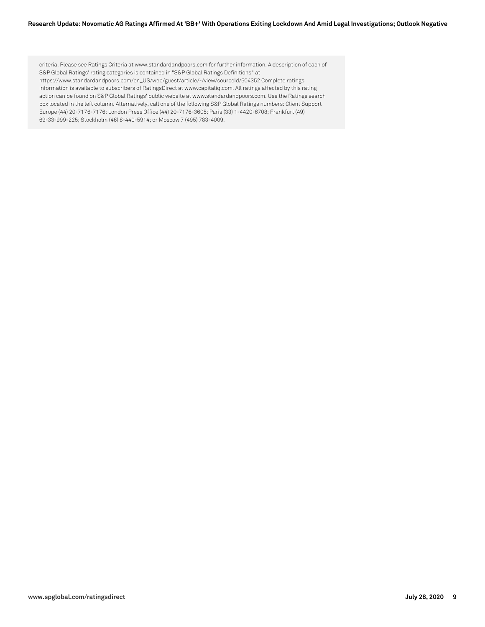#### **Research Update: Novomatic AG Ratings Affirmed At 'BB+' With Operations Exiting Lockdown And Amid Legal Investigations; Outlook Negative**

criteria. Please see Ratings Criteria at www.standardandpoors.com for further information. A description of each of S&P Global Ratings' rating categories is contained in "S&P Global Ratings Definitions" at https://www.standardandpoors.com/en\_US/web/guest/article/-/view/sourceId/504352 Complete ratings information is available to subscribers of RatingsDirect at www.capitaliq.com. All ratings affected by this rating action can be found on S&P Global Ratings' public website at www.standardandpoors.com. Use the Ratings search box located in the left column. Alternatively, call one of the following S&P Global Ratings numbers: Client Support Europe (44) 20-7176-7176; London Press Office (44) 20-7176-3605; Paris (33) 1-4420-6708; Frankfurt (49) 69-33-999-225; Stockholm (46) 8-440-5914; or Moscow 7 (495) 783-4009.